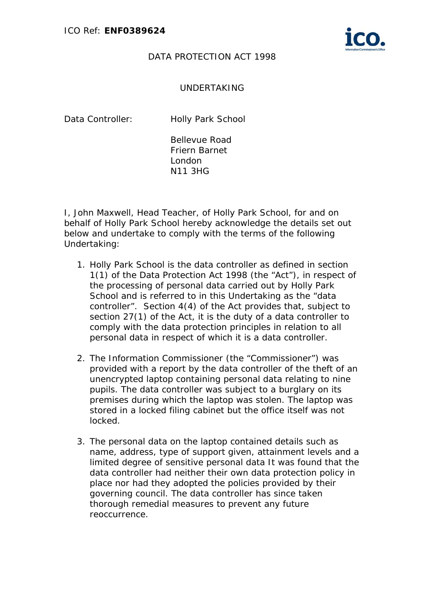

## DATA PROTECTION ACT 1998

## UNDERTAKING

Data Controller: Holly Park School

Bellevue Road Friern Barnet London N11 3HG

I, John Maxwell, Head Teacher, of Holly Park School, for and on behalf of Holly Park School hereby acknowledge the details set out below and undertake to comply with the terms of the following Undertaking:

- 1. Holly Park School is the data controller as defined in section 1(1) of the Data Protection Act 1998 (the "Act"), in respect of the processing of personal data carried out by Holly Park School and is referred to in this Undertaking as the "data controller". Section 4(4) of the Act provides that, subject to section 27(1) of the Act, it is the duty of a data controller to comply with the data protection principles in relation to all personal data in respect of which it is a data controller.
- 2. The Information Commissioner (the "Commissioner") was provided with a report by the data controller of the theft of an unencrypted laptop containing personal data relating to nine pupils. The data controller was subject to a burglary on its premises during which the laptop was stolen. The laptop was stored in a locked filing cabinet but the office itself was not locked.
- 3. The personal data on the laptop contained details such as name, address, type of support given, attainment levels and a limited degree of sensitive personal data It was found that the data controller had neither their own data protection policy in place nor had they adopted the policies provided by their governing council. The data controller has since taken thorough remedial measures to prevent any future reoccurrence.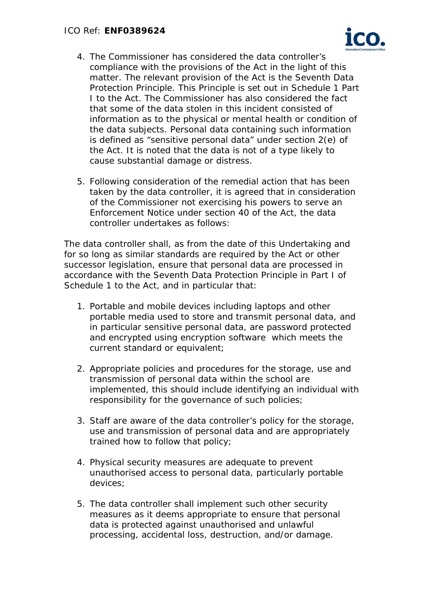

- 4. The Commissioner has considered the data controller's compliance with the provisions of the Act in the light of this matter. The relevant provision of the Act is the Seventh Data Protection Principle. This Principle is set out in Schedule 1 Part I to the Act. The Commissioner has also considered the fact that some of the data stolen in this incident consisted of information as to the physical or mental health or condition of the data subjects. Personal data containing such information is defined as "sensitive personal data" under section 2(e) of the Act. It is noted that the data is not of a type likely to cause substantial damage or distress.
- 5. Following consideration of the remedial action that has been taken by the data controller, it is agreed that in consideration of the Commissioner not exercising his powers to serve an Enforcement Notice under section 40 of the Act, the data controller undertakes as follows:

The data controller shall, as from the date of this Undertaking and for so long as similar standards are required by the Act or other successor legislation, ensure that personal data are processed in accordance with the Seventh Data Protection Principle in Part I of Schedule 1 to the Act, and in particular that:

- 1. Portable and mobile devices including laptops and other portable media used to store and transmit personal data, and in particular sensitive personal data, are password protected and encrypted using encryption software which meets the current standard or equivalent;
- 2. Appropriate policies and procedures for the storage, use and transmission of personal data within the school are implemented, this should include identifying an individual with responsibility for the governance of such policies;
- 3. Staff are aware of the data controller's policy for the storage, use and transmission of personal data and are appropriately trained how to follow that policy;
- 4. Physical security measures are adequate to prevent unauthorised access to personal data, particularly portable devices;
- 5. The data controller shall implement such other security measures as it deems appropriate to ensure that personal data is protected against unauthorised and unlawful processing, accidental loss, destruction, and/or damage.